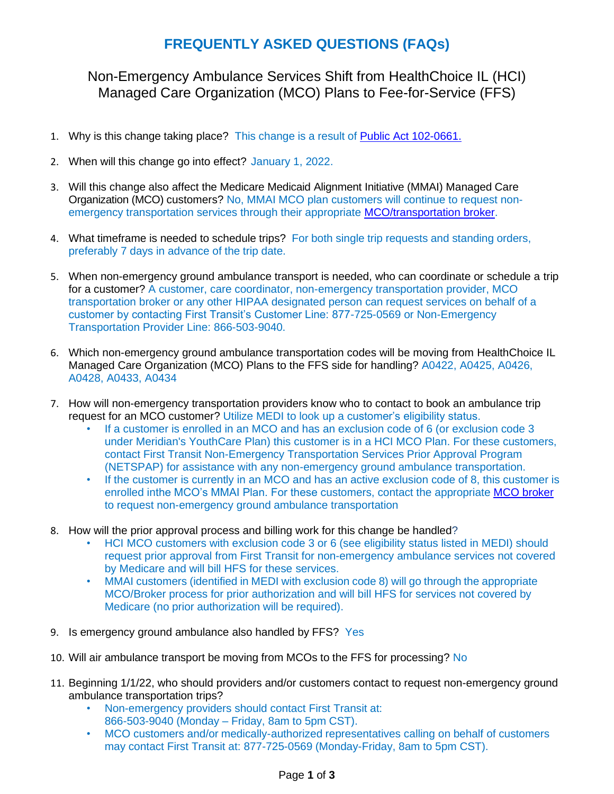## **FREQUENTLY ASKED QUESTIONS (FAQs)**

Non-Emergency Ambulance Services Shift from HealthChoice IL (HCI) Managed Care Organization (MCO) Plans to Fee-for-Service (FFS)

- 1. Why is this change taking place? This change is a result of [Public Act](https://ilga.gov/legislation/publicacts/102/PDF/102-0661.pdf) 102-0661.
- 2. When will this change go into effect? January 1, 2022.
- 3. Will this change also affect the Medicare Medicaid Alignment Initiative (MMAI) Managed Care Organization (MCO) customers? No, MMAI MCO plan customers will continue to request nonemergency transportation services through their appropriate [MCO/transportation broker.](https://www2.illinois.gov/hfs/SiteCollectionDocuments/MMAISubcontractors02102021.pdf)
- 4. What timeframe is needed to schedule trips? For both single trip requests and standing orders, preferably 7 days in advance of the trip date.
- 5. When non-emergency ground ambulance transport is needed, who can coordinate or schedule a trip for a customer? A customer, care coordinator, non-emergency transportation provider, MCO transportation broker or any other HIPAA designated person can request services on behalf of a customer by contacting First Transit's Customer Line: 877-725-0569 or Non-Emergency Transportation Provider Line: 866-503-9040.
- 6. Which non-emergency ground ambulance transportation codes will be moving from HealthChoice IL Managed Care Organization (MCO) Plans to the FFS side for handling? A0422, A0425, A0426, A0428, A0433, A0434
- 7. How will non-emergency transportation providers know who to contact to book an ambulance trip request for an MCO customer? Utilize MEDI to look up a customer's eligibility status.
	- If a customer is enrolled in an MCO and has an exclusion code of 6 (or exclusion code 3 under Meridian's YouthCare Plan) this customer is in a HCI MCO Plan. For these customers, contact First Transit Non-Emergency Transportation Services Prior Approval Program (NETSPAP) for assistance with any non-emergency ground ambulance transportation.
	- If the customer is currently in an MCO and has an active exclusion code of 8, this customer is enrolled inthe MCO's MMAI Plan. For these customers, contact the appropriate [MCO broker](https://www2.illinois.gov/hfs/SiteCollectionDocuments/MMAISubcontractors02102021.pdf) to request non-emergency ground ambulance transportation
- 8. How will the prior approval process and billing work for this change be handled?
	- HCI MCO customers with exclusion code 3 or 6 (see eligibility status listed in MEDI) should request prior approval from First Transit for non-emergency ambulance services not covered by Medicare and will bill HFS for these services.
	- MMAI customers (identified in MEDI with exclusion code 8) will go through the appropriate MCO/Broker process for prior authorization and will bill HFS for services not covered by Medicare (no prior authorization will be required).
- 9. Is emergency ground ambulance also handled by FFS? Yes
- 10. Will air ambulance transport be moving from MCOs to the FFS for processing? No
- 11. Beginning 1/1/22, who should providers and/or customers contact to request non-emergency ground ambulance transportation trips?
	- Non-emergency providers should contact First Transit at: 866-503-9040 (Monday – Friday, 8am to 5pm CST).
	- MCO customers and/or medically-authorized representatives calling on behalf of customers may contact First Transit at: 877-725-0569 (Monday-Friday, 8am to 5pm CST).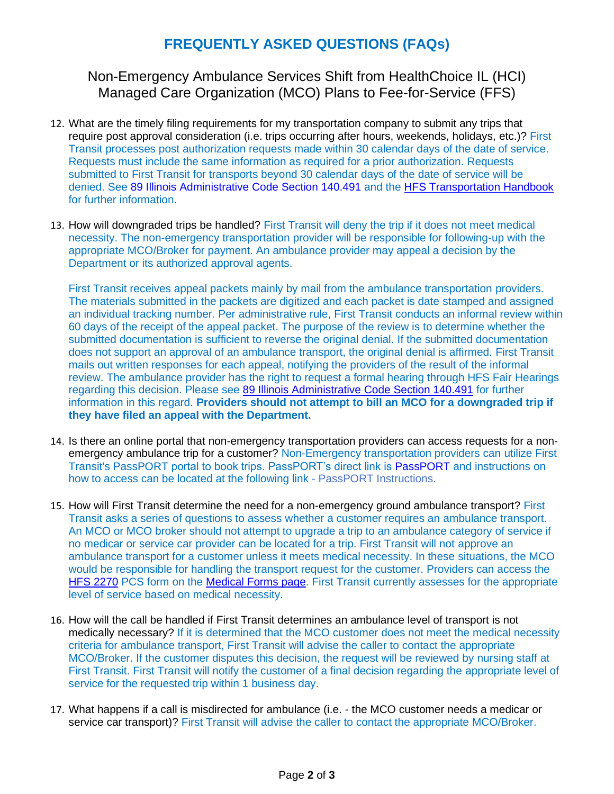## **FREQUENTLY ASKED QUESTIONS (FAQs)**

## Non-Emergency Ambulance Services Shift from HealthChoice IL (HCI) Managed Care Organization (MCO) Plans to Fee-for-Service (FFS)

- 12. What are the timely filing requirements for my transportation company to submit any trips that require post approval consideration (i.e. trips occurring after hours, weekends, holidays, etc.)? First Transit processes post authorization requests made within 30 calendar days of the date of service. Requests must include the same information as required for a prior authorization. Requests submitted to First Transit for transports beyond 30 calendar days of the date of service will be denied. See [89 Illinois Administrative Code Section 140.491 a](https://www.ilga.gov/commission/jcar/admincode/089/089001400D04910R.html)nd the [HFS Transportation Handbook](https://www2.illinois.gov/hfs/SiteCollectionDocuments/08252021TransportationHandbookReissueFinal.pdf) for further [information.](https://www2.illinois.gov/hfs/SiteCollectionDocuments/08252021TransportationHandbookReissueFinal.pdf)
- 13. How will downgraded trips be handled? First Transit will deny the trip if it does not meet medical necessity. The non-emergency transportation provider will be responsible for following-up with the appropriate MCO/Broker for payment. An ambulance provider may appeal a decision by the Department or its authorized approval agents.

First Transit receives appeal packets mainly by mail from the ambulance transportation providers. The materials submitted in the packets are digitized and each packet is date stamped and assigned an individual tracking number. Per administrative rule, First Transit conducts an informal review within 60 days of the receipt of the appeal packet. The purpose of the review is to determine whether the submitted documentation is sufficient to reverse the original denial. If the submitted documentation does not support an approval of an ambulance transport, the original denial is affirmed. First Transit mails out written responses for each appeal, notifying the providers of the result of the informal review. The ambulance provider has the right to request a formal hearing through HFS Fair Hearings regarding this decision. Please see [89 Illinois Administrative Code Section 140.491](file:///C:/Users/Christina.McCutchan/AppData/Local/Microsoft/Windows/INetCache/Content.Outlook/CVGRBXJB/89%20Illinois%20Administrative%20Code%20Section%20140.491) for further information in this regard. **Providers should not attempt to bill an MCO for a downgraded trip if they have filed an appeal with the Department.**

- 14. Is there an online portal that non-emergency transportation providers can access requests for a nonemergency ambulance trip for a customer? Non-Emergency transportation providers can utilize First Transit's PassPORT portal to book trips. PassPORT's direct link is [PassPORT](https://www.ft-passport-il.com/) and instructions on how to access can be located at the following link - [PassPORT Instructions.](https://www.netspap.com/providers/passport)
- 15. How will First Transit determine the need for a non-emergency ground ambulance transport? First Transit asks a series of questions to assess whether a customer requires an ambulance transport. An MCO or MCO broker should not attempt to upgrade a trip to an ambulance category of service if no medicar or service car provider can be located for a trip. First Transit will not approve an ambulance transport for a customer unless it meets medical necessity. In these situations, the MCO would be responsible for handling the transport request for the customer. Providers can access the [HFS 2270](https://www2.illinois.gov/hfs/SiteCollectionDocuments/hfs2270.pdf) PCS form on the [Medical Forms page.](https://www2.illinois.gov/hfs/info/Brochures%20and%20Forms/Pages/medicalformsnumeric.aspx) First Transit currently assesses for the appropriate level of service based on medical necessity.
- 16. How will the call be handled if First Transit determines an ambulance level of transport is not medically necessary? If it is determined that the MCO customer does not meet the medical necessity criteria for ambulance transport, First Transit will advise the caller to contact the appropriate MCO/Broker. If the customer disputes this decision, the request will be reviewed by nursing staff at First Transit. First Transit will notify the customer of a final decision regarding the appropriate level of service for the requested trip within 1 business day.
- 17. What happens if a call is misdirected for ambulance (i.e. the MCO customer needs a medicar or service car transport)? First Transit will advise the caller to contact the appropriate MCO/Broker.